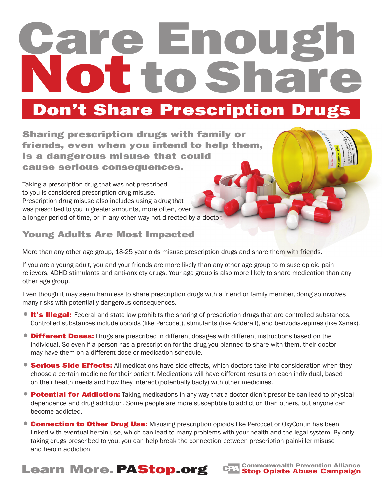# re Enou **Noto Share**

#### Don't Share Prescription Drugs

Sharing prescription drugs with family or friends, even when you intend to help them, is a dangerous misuse that could cause serious consequences.

Taking a prescription drug that was not prescribed to you is considered prescription drug misuse. Prescription drug misuse also includes using a drug that was prescribed to you in greater amounts, more often, over a longer period of time, or in any other way not directed by a doctor.

#### Young Adults Are Most Impacted

More than any other age group, 18-25 year olds misuse prescription drugs and share them with friends.

If you are a young adult, you and your friends are more likely than any other age group to misuse opioid pain relievers, ADHD stimulants and anti-anxiety drugs. Your age group is also more likely to share medication than any other age group.

Even though it may seem harmless to share prescription drugs with a friend or family member, doing so involves many risks with potentially dangerous consequences.

- **It's Illegal:** Federal and state law prohibits the sharing of prescription drugs that are controlled substances. Controlled substances include opioids (like Percocet), stimulants (like Adderall), and benzodiazepines (like Xanax).
- Different Doses: Drugs are prescribed in different dosages with different instructions based on the individual. So even if a person has a prescription for the drug you planned to share with them, their doctor may have them on a different dose or medication schedule.
- Serious Side Effects: All medications have side effects, which doctors take into consideration when they choose a certain medicine for their patient. Medications will have different results on each individual, based on their health needs and how they interact (potentially badly) with other medicines.
- Potential for Addiction: Taking medications in any way that a doctor didn't prescribe can lead to physical dependence and drug addiction. Some people are more susceptible to addiction than others, but anyone can become addicted.
- **Connection to Other Drug Use:** Misusing prescription opioids like Percocet or OxyContin has been linked with eventual heroin use, which can lead to many problems with your health and the legal system. By only taking drugs prescribed to you, you can help break the connection between prescription painkiller misuse and heroin addiction